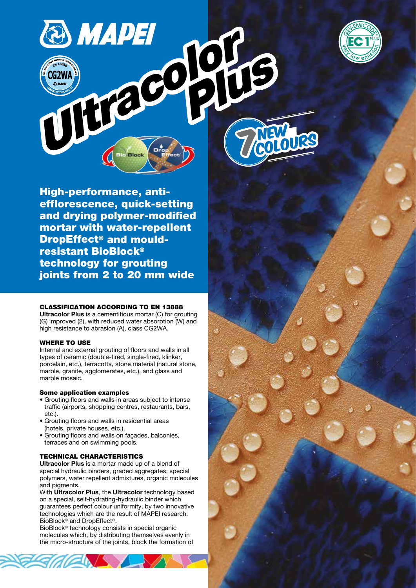

High-performance, antiefflorescence, quick-setting and drying polymer-modified mortar with water-repellent DropEffect® and mouldresistant BioBlock® COLORED COLORED **Plus College** 

technology for grouting joints from 2 to 20 mm wide

### CLASSIFICATION ACCORDING TO EN 13888

Ultracolor Plus is a cementitious mortar (C) for grouting (G) improved (2), with reduced water absorption (W) and high resistance to abrasion (A), class CG2WA.

### WHERE TO USE

Internal and external grouting of floors and walls in all types of ceramic (double-fired, single-fired, klinker, porcelain, etc.), terracotta, stone material (natural stone, marble, granite, agglomerates, etc.), and glass and marble mosaic.

### Some application examples

- Grouting floors and walls in areas subject to intense traffic (airports, shopping centres, restaurants, bars, etc.).
- Grouting floors and walls in residential areas (hotels, private houses, etc.).
- Grouting floors and walls on façades, balconies, terraces and on swimming pools.

## TECHNICAL CHARACTERISTICS

Ultracolor Plus is a mortar made up of a blend of special hydraulic binders, graded aggregates, special polymers, water repellent admixtures, organic molecules and pigments.

With Ultracolor Plus, the Ultracolor technology based on a special, self-hydrating-hydraulic binder which guarantees perfect colour uniformity, by two innovative technologies which are the result of MAPEI research: BioBlock® and DropEffect®.

BioBlock® technology consists in special organic molecules which, by distributing themselves evenly in the micro-structure of the joints, block the formation of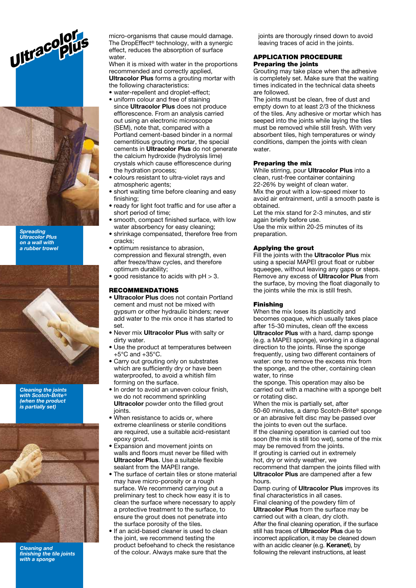



**Spreading** Ultracolor Plus on a wall with a rubber trowel



Cleaning the joints with Scotch-Brite® (when the product is partially set)



Cleaning and finishing the tile joints with a sponge

The DropEffect® technology, with a synergic effect, reduces the absorption of surface water

When it is mixed with water in the proportions recommended and correctly applied, Ultracolor Plus forms a grouting mortar with the following characteristics:

- water-repellent and droplet-effect:
- uniform colour and free of staining since **Ultracolor Plus** does not produce efflorescence. From an analysis carried out using an electronic microscope (SEM), note that, compared with a Portland cement-based binder in a normal cementitious grouting mortar, the special cements in **Ultracolor Plus** do not generate the calcium hydroxide (hydrolysis lime) crystals which cause efflorescence during the hydration process;
- colours resistant to ultra-violet rays and atmospheric agents;
- short waiting time before cleaning and easy finishing;
- ready for light foot traffic and for use after a short period of time;
- smooth, compact finished surface, with low water absorbency for easy cleaning;
- shrinkage compensated, therefore free from cracks;
- optimum resistance to abrasion, compression and flexural strength, even after freeze/thaw cycles, and therefore optimum durability;
- good resistance to acids with pH > 3.

### RECOMMENDATIONS

- Ultracolor Plus does not contain Portland cement and must not be mixed with gypsum or other hydraulic binders; never add water to the mix once it has started to set.
- Never mix **Ultracolor Plus** with salty or dirty water.
- Use the product at temperatures between  $+5^{\circ}$ C and  $+35^{\circ}$ C.
- Carry out grouting only on substrates which are sufficiently dry or have been waterproofed, to avoid a whitish film forming on the surface.
- In order to avoid an uneven colour finish, we do not recommend sprinkling Ultracolor powder onto the filled grout joints.
- When resistance to acids or, where extreme cleanliness or sterile conditions are required, use a suitable acid-resistant epoxy grout.
- Expansion and movement joints on walls and floors must never be filled with Ultracolor Plus. Use a suitable flexible sealant from the MAPEI range.
- The surface of certain tiles or stone material may have micro-porosity or a rough surface. We recommend carrying out a preliminary test to check how easy it is to clean the surface where necessary to apply a protective treatment to the surface, to ensure the grout does not penetrate into the surface porosity of the tiles.
- If an acid-based cleaner is used to clean the joint, we recommend testing the product befoehand to check the resistance of the colour. Always make sure that the

joints are thorougly rinsed down to avoid leaving traces of acid in the joints.

#### APPLICATION PROCEDURE Preparing the joints

Grouting may take place when the adhesive is completely set. Make sure that the waiting times indicated in the technical data sheets are followed.

The joints must be clean, free of dust and empty down to at least 2/3 of the thickness of the tiles. Any adhesive or mortar which has seeped into the joints while laying the tiles must be removed while still fresh. With very absorbent tiles, high temperatures or windy conditions, dampen the joints with clean water.

### Preparing the mix

While stirring, pour Ultracolor Plus into a clean, rust-free container containing 22-26% by weight of clean water. Mix the grout with a low-speed mixer to avoid air entrainment, until a smooth paste is obtained.

Let the mix stand for 2-3 minutes, and stir again briefly before use.

Use the mix within 20-25 minutes of its preparation.

### Applying the grout

Fill the joints with the **Ultracolor Plus** mix using a special MAPEI grout float or rubber squeegee, without leaving any gaps or steps. Remove any excess of Ultracolor Plus from the surface, by moving the float diagonally to the joints while the mix is still fresh.

### Finishing

When the mix loses its plasticity and becomes opaque, which usually takes place after 15-30 minutes, clean off the excess Ultracolor Plus with a hard, damp sponge (e.g. a MAPEI sponge), working in a diagonal direction to the joints. Rinse the sponge frequently, using two different containers of water: one to remove the excess mix from the sponge, and the other, containing clean water, to rinse

the sponge. This operation may also be carried out with a machine with a sponge belt or rotating disc.

When the mix is partially set, after 50-60 minutes, a damp Scotch-Brite® sponge or an abrasive felt disc may be passed over the joints to even out the surface. If the cleaning operation is carried out too soon (the mix is still too wet), some of the mix may be removed from the joints.

If grouting is carried out in extremely

hot, dry or windy weather, we

recommend that dampen the joints filled with Ultracolor Plus are dampened after a few hours.

Damp curing of **Ultracolor Plus** improves its final characteristics in all cases. Final cleaning of the powdery film of Ultracolor Plus from the surface may be carried out with a clean, dry cloth. After the final cleaning operation, if the surface still has traces of Ultracolor Plus due to incorrect application, it may be cleaned down with an acidic cleaner (e.g. **Keranet**), by following the relevant instructions, at least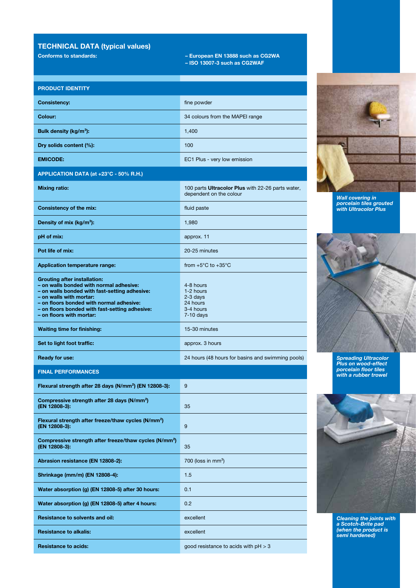# TECHNICAL DATA (typical values)

Conforms to standards: – European EN 13888 such as CG2WA

– ISO 13007-3 such as CG2WAF

| <b>PRODUCT IDENTITY</b>                                                                                                                                                                                                                                                              |                                                                              |  |  |  |
|--------------------------------------------------------------------------------------------------------------------------------------------------------------------------------------------------------------------------------------------------------------------------------------|------------------------------------------------------------------------------|--|--|--|
| <b>Consistency:</b>                                                                                                                                                                                                                                                                  | fine powder                                                                  |  |  |  |
| Colour:                                                                                                                                                                                                                                                                              | 34 colours from the MAPEI range                                              |  |  |  |
| Bulk density (kg/m <sup>3</sup> ):                                                                                                                                                                                                                                                   | 1,400                                                                        |  |  |  |
| Dry solids content (%):                                                                                                                                                                                                                                                              | 100                                                                          |  |  |  |
| <b>EMICODE:</b>                                                                                                                                                                                                                                                                      | EC1 Plus - very low emission                                                 |  |  |  |
| APPLICATION DATA (at +23°C - 50% R.H.)                                                                                                                                                                                                                                               |                                                                              |  |  |  |
| <b>Mixing ratio:</b>                                                                                                                                                                                                                                                                 | 100 parts Ultracolor Plus with 22-26 parts water,<br>dependent on the colour |  |  |  |
| <b>Consistency of the mix:</b>                                                                                                                                                                                                                                                       | fluid paste                                                                  |  |  |  |
| Density of mix (kg/m <sup>3</sup> ):                                                                                                                                                                                                                                                 | 1,980                                                                        |  |  |  |
| pH of mix:                                                                                                                                                                                                                                                                           | approx. 11                                                                   |  |  |  |
| Pot life of mix:                                                                                                                                                                                                                                                                     | 20-25 minutes                                                                |  |  |  |
| <b>Application temperature range:</b>                                                                                                                                                                                                                                                | from $+5^{\circ}$ C to $+35^{\circ}$ C                                       |  |  |  |
| <b>Grouting after installation:</b><br>- on walls bonded with normal adhesive:<br>- on walls bonded with fast-setting adhesive:<br>- on walls with mortar:<br>- on floors bonded with normal adhesive:<br>- on floors bonded with fast-setting adhesive:<br>- on floors with mortar: | 4-8 hours<br>1-2 hours<br>$2-3$ days<br>24 hours<br>3-4 hours<br>7-10 days   |  |  |  |
| <b>Waiting time for finishing:</b>                                                                                                                                                                                                                                                   | 15-30 minutes                                                                |  |  |  |
| Set to light foot traffic:                                                                                                                                                                                                                                                           | approx. 3 hours                                                              |  |  |  |
| <b>Ready for use:</b>                                                                                                                                                                                                                                                                | 24 hours (48 hours for basins and swimming pools)                            |  |  |  |
| <b>FINAL PERFORMANCES</b>                                                                                                                                                                                                                                                            |                                                                              |  |  |  |
| Flexural strength after 28 days (N/mm <sup>2</sup> ) (EN 12808-3):                                                                                                                                                                                                                   | 9                                                                            |  |  |  |
| Compressive strength after 28 days (N/mm <sup>2</sup> )<br>(EN 12808-3):                                                                                                                                                                                                             | 35                                                                           |  |  |  |
| Flexural strength after freeze/thaw cycles (N/mm <sup>2</sup> )<br>(EN 12808-3):                                                                                                                                                                                                     | 9                                                                            |  |  |  |
| Compressive strength after freeze/thaw cycles (N/mm <sup>2</sup> )<br>(EN 12808-3):                                                                                                                                                                                                  | 35                                                                           |  |  |  |
| Abrasion resistance (EN 12808-2):                                                                                                                                                                                                                                                    | 700 (loss in mm <sup>3</sup> )                                               |  |  |  |
| Shrinkage (mm/m) (EN 12808-4):                                                                                                                                                                                                                                                       | 1.5                                                                          |  |  |  |
| Water absorption (g) (EN 12808-5) after 30 hours:                                                                                                                                                                                                                                    | 0.1                                                                          |  |  |  |
| Water absorption (g) (EN 12808-5) after 4 hours:                                                                                                                                                                                                                                     | 0.2                                                                          |  |  |  |
| <b>Resistance to solvents and oil:</b>                                                                                                                                                                                                                                               | excellent                                                                    |  |  |  |
| <b>Resistance to alkalis:</b>                                                                                                                                                                                                                                                        | excellent                                                                    |  |  |  |
| <b>Resistance to acids:</b>                                                                                                                                                                                                                                                          | good resistance to acids with $pH > 3$                                       |  |  |  |



Wall covering in porcelain tiles grouted with Ultracolor Plus

![](_page_2_Picture_7.jpeg)

Spreading Ultracolor Plus on wood-effect porcelain floor tiles with a rubber trowel

![](_page_2_Picture_9.jpeg)

Cleaning the joints with a Scotch-Brite pad (when the product is semi hardened)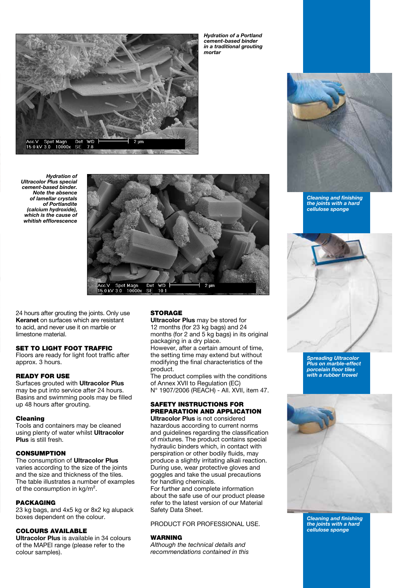![](_page_3_Picture_0.jpeg)

Hydration of a Portland cement-based binder in a traditional grouting mortar

![](_page_3_Picture_2.jpeg)

![](_page_3_Picture_3.jpeg)

24 hours after grouting the joints. Only use Keranet on surfaces which are resistant to acid, and never use it on marble or limestone material.

# SET TO LIGHT FOOT TRAFFIC

Floors are ready for light foot traffic after approx. 3 hours.

### READY FOR USE

Surfaces grouted with Ultracolor Plus may be put into service after 24 hours. Basins and swimming pools may be filled up 48 hours after grouting.

#### Cleaning

Tools and containers may be cleaned using plenty of water whilst Ultracolor Plus is still fresh.

### **CONSUMPTION**

#### The consumption of Ultracolor Plus

varies according to the size of the joints and the size and thickness of the tiles. The table illustrates a number of examples of the consumption in kg/m².

### PACKAGING

23 kg bags, and 4x5 kg or 8x2 kg alupack boxes dependent on the colour.

## COLOURS AVAILABLE

Ultracolor Plus is available in 34 colours of the MAPEI range (please refer to the colour samples).

## **STORAGE**

Ultracolor Plus may be stored for 12 months (for 23 kg bags) and 24 months (for 2 and 5 kg bags) in its original packaging in a dry place.

However, after a certain amount of time, the setting time may extend but without modifying the final characteristics of the product.

The product complies with the conditions of Annex XVII to Regulation (EC) N° 1907/2006 (REACH) - All. XVII, item 47.

#### SAFETY INSTRUCTIONS FOR PREPARATION AND APPLICATION Ultracolor Plus is not considered

hazardous according to current norms and guidelines regarding the classification of mixtures. The product contains special hydraulic binders which, in contact with perspiration or other bodily fluids, may produce a slightly irritating alkali reaction. During use, wear protective gloves and goggles and take the usual precautions for handling chemicals.

For further and complete information about the safe use of our product please refer to the latest version of our Material Safety Data Sheet.

PRODUCT FOR PROFESSIONAL USE.

### WARNING

Although the technical details and recommendations contained in this

![](_page_3_Picture_28.jpeg)

Cleaning and finishing the joints with a hard cellulose sponge

![](_page_3_Picture_30.jpeg)

Spreading Ultracolor Plus on marble-effect porcelain floor tiles with a rubber trowel

![](_page_3_Picture_32.jpeg)

Cleaning and finishing the joints with a hard cellulose sponge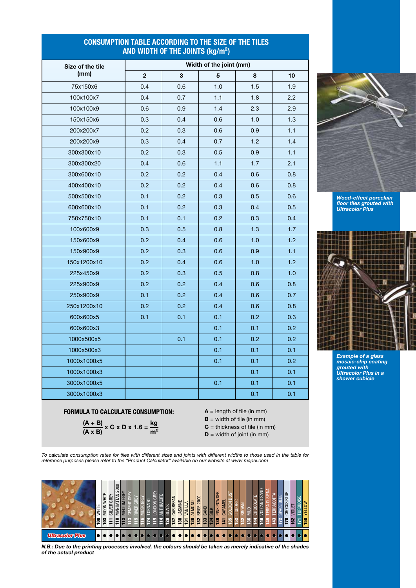# CONSUMPTION TABLE ACCORDING TO THE SIZE OF THE TILES AND WIDTH OF THE JOINTS (kg/m²)

| Size of the tile<br>(mm) | Width of the joint (mm) |     |     |     |     |  |
|--------------------------|-------------------------|-----|-----|-----|-----|--|
|                          | $\overline{\mathbf{c}}$ | 3   | 5   | 8   | 10  |  |
| 75x150x6                 | 0.4                     | 0.6 | 1.0 | 1.5 | 1.9 |  |
| 100x100x7                | 0.4                     | 0.7 | 1.1 | 1.8 | 2.2 |  |
| 100x100x9                | 0.6                     | 0.9 | 1.4 | 2.3 | 2.9 |  |
| 150x150x6                | 0.3                     | 0.4 | 0.6 | 1.0 | 1.3 |  |
| 200x200x7                | 0.2                     | 0.3 | 0.6 | 0.9 | 1.1 |  |
| 200x200x9                | 0.3                     | 0.4 | 0.7 | 1.2 | 1.4 |  |
| 300x300x10               | 0.2                     | 0.3 | 0.5 | 0.9 | 1.1 |  |
| 300x300x20               | 0.4                     | 0.6 | 1.1 | 1.7 | 2.1 |  |
| 300x600x10               | 0.2                     | 0.2 | 0.4 | 0.6 | 0.8 |  |
| 400x400x10               | 0.2                     | 0.2 | 0.4 | 0.6 | 0.8 |  |
| 500x500x10               | 0.1                     | 0.2 | 0.3 | 0.5 | 0.6 |  |
| 600x600x10               | 0.1                     | 0.2 | 0.3 | 0.4 | 0.5 |  |
| 750x750x10               | 0.1                     | 0.1 | 0.2 | 0.3 | 0.4 |  |
| 100x600x9                | 0.3                     | 0.5 | 0.8 | 1.3 | 1.7 |  |
| 150x600x9                | 0.2                     | 0.4 | 0.6 | 1.0 | 1.2 |  |
| 150x900x9                | 0.2                     | 0.3 | 0.6 | 0.9 | 1.1 |  |
| 150x1200x10              | 0.2                     | 0.4 | 0.6 | 1.0 | 1.2 |  |
| 225x450x9                | 0.2                     | 0.3 | 0.5 | 0.8 | 1.0 |  |
| 225x900x9                | 0.2                     | 0.2 | 0.4 | 0.6 | 0.8 |  |
| 250x900x9                | 0.1                     | 0.2 | 0.4 | 0.6 | 0.7 |  |
| 250x1200x10              | 0.2                     | 0.2 | 0.4 | 0.6 | 0.8 |  |
| 600x600x5                | 0.1                     | 0.1 | 0.1 | 0.2 | 0.3 |  |
| 600x600x3                |                         |     | 0.1 | 0.1 | 0.2 |  |
| 1000x500x5               |                         | 0.1 | 0.1 | 0.2 | 0.2 |  |
| 1000x500x3               |                         |     | 0.1 | 0.1 | 0.1 |  |
| 1000x1000x5              |                         |     | 0.1 | 0.1 | 0.2 |  |
| 1000x1000x3              |                         |     |     | 0.1 | 0.1 |  |
| 3000x1000x5              |                         |     | 0.1 | 0.1 | 0.1 |  |
| 3000x1000x3              |                         |     |     | 0.1 | 0.1 |  |

![](_page_4_Picture_2.jpeg)

Wood-effect porcelain floor tiles grouted with Ultracolor Plus

![](_page_4_Picture_4.jpeg)

Example of a glass mosaic-chip coating grouted with Ultracolor Plus in a shower cubicle

## FORMULA TO CALCULATE CONSUMPTION:  $A = length of tile (in mm)$

$$
\frac{(A + B)}{(A \times B)} \times C \times D \times 1.6 = \frac{kg}{m^2}
$$

- **= width of tile (in mm)**
- $C =$  thickness of tile (in mm)  $D =$  width of joint (in mm)
- 

To calculate consumption rates for tiles with different sizes and joints with different widths to those used in the table for reference purposes please refer to the "Product Calculator" available on our website at www.mapei.com

![](_page_4_Figure_13.jpeg)

N.B.: Due to the printing processes involved, the colours should be taken as merely indicative of the shades of the actual product